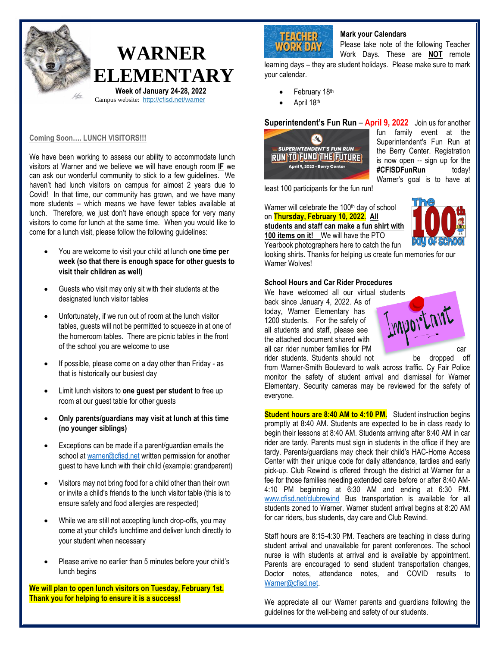

#### **Coming Soon…. LUNCH VISITORS!!!**

We have been working to assess our ability to accommodate lunch visitors at Warner and we believe we will have enough room **IF** we can ask our wonderful community to stick to a few guidelines. We haven't had lunch visitors on campus for almost 2 years due to Covid! In that time, our community has grown, and we have many more students – which means we have fewer tables available at lunch. Therefore, we just don't have enough space for very many visitors to come for lunch at the same time. When you would like to come for a lunch visit, please follow the following guidelines:

- You are welcome to visit your child at lunch **one time per week (so that there is enough space for other guests to visit their children as well)**
- Guests who visit may only sit with their students at the designated lunch visitor tables
- Unfortunately, if we run out of room at the lunch visitor tables, guests will not be permitted to squeeze in at one of the homeroom tables. There are picnic tables in the front of the school you are welcome to use
- If possible, please come on a day other than Friday as that is historically our busiest day
- Limit lunch visitors to **one guest per student** to free up room at our guest table for other guests
- **Only parents/guardians may visit at lunch at this time (no younger siblings)**
- Exceptions can be made if a parent/guardian emails the school at [warner@cfisd.net](mailto:warner@cfisd.net) written permission for another guest to have lunch with their child (example: grandparent)
- Visitors may not bring food for a child other than their own or invite a child's friends to the lunch visitor table (this is to ensure safety and food allergies are respected)
- While we are still not accepting lunch drop-offs, you may come at your child's lunchtime and deliver lunch directly to your student when necessary
- Please arrive no earlier than 5 minutes before your child's lunch begins

**We will plan to open lunch visitors on Tuesday, February 1st. Thank you for helping to ensure it is a success!**

# **TEACHER**<br>WORK DAY

# **Mark your Calendars**

Please take note of the following Teacher Work Days. These are **NOT** remote

learning days – they are student holidays. Please make sure to mark your calendar.

- February 18th
- April 18th

#### **Superintendent's Fun Run** – **April 9, 2022** Join us for another



fun family event at the Superintendent's Fun Run at the Berry Center. Registration is now open -- sign up for the **#CFISDFunRun** today! Warner's goal is to have at

least 100 participants for the fun run!

Warner will celebrate the 100<sup>th</sup> day of school

on **Thursday, February 10, 2022. All students and staff can make a fun shirt with 100 items on it!** We will have the PTO



Yearbook photographers here to catch the fun looking shirts. Thanks for helping us create fun memories for our Warner Wolves!

#### **School Hours and Car Rider Procedures**

We have welcomed all our virtual students back since January 4, 2022. As of today, Warner Elementary has 1200 students. For the safety of all students and staff, please see the attached document shared with all car rider number families for  $PM$  car car rider students. Students should not be dropped off



from Warner-Smith Boulevard to walk across traffic. Cy Fair Police monitor the safety of student arrival and dismissal for Warner Elementary. Security cameras may be reviewed for the safety of everyone.

**Student hours are 8:40 AM to 4:10 PM.** Student instruction begins promptly at 8:40 AM. Students are expected to be in class ready to begin their lessons at 8:40 AM. Students arriving after 8:40 AM in car rider are tardy. Parents must sign in students in the office if they are tardy. Parents/guardians may check their child's HAC-Home Access Center with their unique code for daily attendance, tardies and early pick-up. Club Rewind is offered through the district at Warner for a fee for those families needing extended care before or after 8:40 AM-4:10 PM beginning at 6:30 AM and ending at 6:30 PM. [www.cfisd.net/clubrewind](http://www.cfisd.net/clubrewind) Bus transportation is available for all students zoned to Warner. Warner student arrival begins at 8:20 AM for car riders, bus students, day care and Club Rewind.

Staff hours are 8:15-4:30 PM. Teachers are teaching in class during student arrival and unavailable for parent conferences. The school nurse is with students at arrival and is available by appointment. Parents are encouraged to send student transportation changes, Doctor notes, attendance notes, and COVID results to [Warner@cfisd.net.](mailto:Warner@cfisd.net) 

We appreciate all our Warner parents and guardians following the guidelines for the well-being and safety of our students.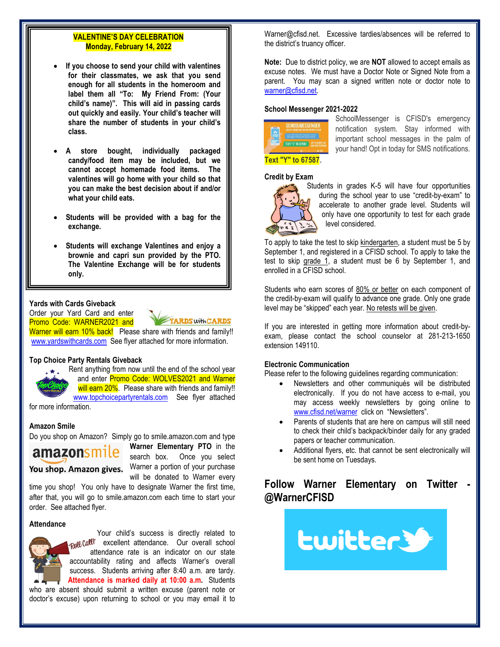# **VALENTINE'S DAY CELEBRATION Monday, February 14, 2022**

- **If you choose to send your child with valentines for their classmates, we ask that you send enough for all students in the homeroom and label them all "To: My Friend From: (Your child's name)". This will aid in passing cards out quickly and easily. Your child's teacher will share the number of students in your child's class.**
- **A store bought, individually packaged candy/food item may be included, but we cannot accept homemade food items. The valentines will go home with your child so that you can make the best decision about if and/or what your child eats.**
- **Students will be provided with a bag for the exchange.**
- **Students will exchange Valentines and enjoy a brownie and capri sun provided by the PTO. The Valentine Exchange will be for students only.**

#### **Yards with Cards Giveback**

Order your Yard Card and enter Promo Code: WARNER2021 and YARDS with CARDS

Warner will earn 10% back! Please share with friends and family!! [www.yardswithcards.com](http://www.yardswithcards.com/) See flyer attached for more information.

#### **Top Choice Party Rentals Giveback**

Rent anything from now until the end of the school year and enter Promo Code: WOLVES2021 and Warner will earn 20%. Please share with friends and family!!

[www.topchoicepartyrentals.com](http://www.topchoicepartyrentals.com/) See flyer attached

for more information.

### **Amazon Smile**

Do you shop on Amazon? Simply go to smile.amazon.com and type



**Warner Elementary PTO** in the search box. Once you select You shop. Amazon gives. Warner a portion of your purchase will be donated to Warner every

time you shop! You only have to designate Warner the first time, after that, you will go to smile.amazon.com each time to start your order. See attached flyer.

# **Attendance**

Your child's success is directly related to Reflective excellent attendance. Our overall school attendance rate is an indicator on our state accountability rating and affects Warner's overall success. Students arriving after 8:40 a.m. are tardy. **Attendance is marked daily at 10:00 a.m.** Students who are absent should submit a written excuse (parent note or doctor's excuse) upon returning to school or you may email it to

Warner@cfisd.net. Excessive tardies/absences will be referred to the district's truancy officer.

**Note:** Due to district policy, we are **NOT** allowed to accept emails as excuse notes. We must have a Doctor Note or Signed Note from a parent. You may scan a signed written note or doctor note to [warner@cfisd.net.](mailto:warner@cfisd.net)

#### **School Messenger 2021-2022**



SchoolMessenger is CFISD's emergency notification system. Stay informed with important school messages in the palm of your hand! Opt in today for SMS notifications.

#### **Credit by Exam**



Students in grades K-5 will have four opportunities during the school year to use "credit-by-exam" to accelerate to another grade level. Students will only have one opportunity to test for each grade level considered.

To apply to take the test to skip kindergarten, a student must be 5 by September 1, and registered in a CFISD school. To apply to take the test to skip grade 1, a student must be 6 by September 1, and enrolled in a CFISD school.

Students who earn scores of 80% or better on each component of the credit-by-exam will qualify to advance one grade. Only one grade level may be "skipped" each year. No retests will be given.

If you are interested in getting more information about credit-byexam, please contact the school counselor at 281-213-1650 extension 149110.

### **Electronic Communication**

Please refer to the following guidelines regarding communication:

- Newsletters and other communiqués will be distributed electronically. If you do not have access to e-mail, you may access weekly newsletters by going online to [www.cfisd.net/warner](http://www.cfisd.net/warner) click on "Newsletters".
- Parents of students that are here on campus will still need to check their child's backpack/binder daily for any graded papers or teacher communication.
- Additional flyers, etc. that cannot be sent electronically will be sent home on Tuesdays.

# **Follow Warner Elementary on Twitter - @WarnerCFISD**